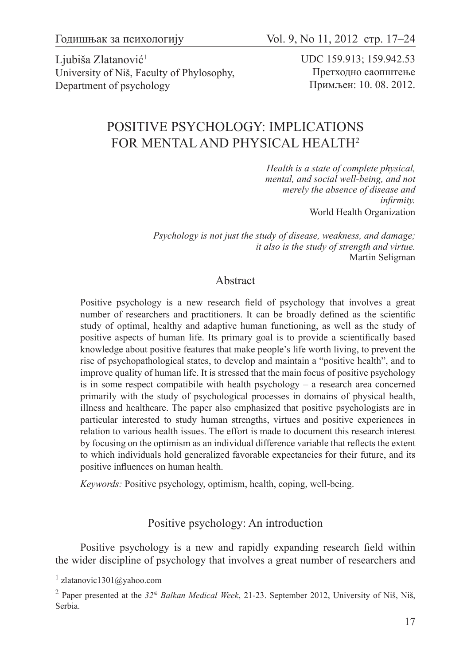Ljubiša Zlatanović<sup>1</sup> University of Niš, Faculty of Phylosophy, Department of psychology

UDC 159.913; 159.942.53 Претходно саопштење Примљен: 10. 08. 2012.

# POSITIVE PSYCHOLOGY: IMPLICATIONS FOR MENTAL AND PHYSICAL HEALTH2

*Health is a state of complete physical, mental, and social well-being, and not merely the absence of disease and infirmity.* World Health Organization

*Psychology is not just the study of disease, weakness, and damage; it also is the study of strength and virtue.* Martin Seligman

### Abstract

Positive psychology is a new research field of psychology that involves a great number of researchers and practitioners. It can be broadly defined as the scientific study of optimal, healthy and adaptive human functioning, as well as the study of positive aspects of human life. Its primary goal is to provide a scientifically based knowledge about positive features that make people's life worth living, to prevent the rise of psychopathological states, to develop and maintain a "positive health", and to improve quality of human life. It is stressed that the main focus of positive psychology is in some respect compatibile with health psychology – a research area concerned primarily with the study of psychological processes in domains of physical health, illness and healthcare. The paper also emphasized that positive psychologists are in particular interested to study human strengths, virtues and positive experiences in relation to various health issues. The effort is made to document this research interest by focusing on the optimism as an individual difference variable that reflects the extent to which individuals hold generalized favorable expectancies for their future, and its positive influences on human health.

*Keywords:* Positive psychology, optimism, health, coping, well-being.

## Positive psychology: An introduction

Positive psychology is a new and rapidly expanding research field within the wider discipline of psychology that involves a great number of researchers and

<sup>1</sup> zlatanovic1301@yahoo.com

<sup>2</sup> Paper presented at the *32th Balkan Medical Week*, 21-23. September 2012, University of Niš, Niš, Serbia.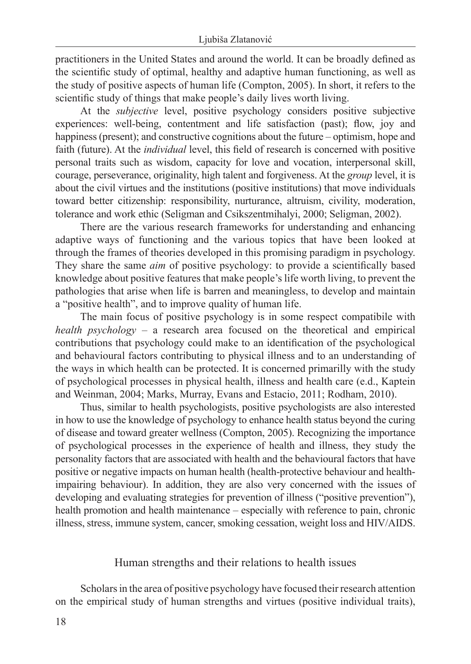practitioners in the United States and around the world. It can be broadly defined as the scientific study of optimal, healthy and adaptive human functioning, as well as the study of positive aspects of human life (Compton, 2005). In short, it refers to the scientific study of things that make people's daily lives worth living.

At the *subjective* level, positive psychology considers positive subjective experiences: well-being, contentment and life satisfaction (past); flow, joy and happiness (present); and constructive cognitions about the future – optimism, hope and faith (future). At the *individual* level, this field of research is concerned with positive personal traits such as wisdom, capacity for love and vocation, interpersonal skill, courage, perseverance, originality, high talent and forgiveness. At the *group* level, it is about the civil virtues and the institutions (positive institutions) that move individuals toward better citizenship: responsibility, nurturance, altruism, civility, moderation, tolerance and work ethic (Seligman and Csikszentmihalyi, 2000; Seligman, 2002).

There are the various research frameworks for understanding and enhancing adaptive ways of functioning and the various topics that have been looked at through the frames of theories developed in this promising paradigm in psychology. They share the same *aim* of positive psychology: to provide a scientifically based knowledge about positive features that make people's life worth living, to prevent the pathologies that arise when life is barren and meaningless, to develop and maintain a "positive health", and to improve quality of human life.

The main focus of positive psychology is in some respect compatibile with *health psychology* – a research area focused on the theoretical and empirical contributions that psychology could make to an identification of the psychological and behavioural factors contributing to physical illness and to an understanding of the ways in which health can be protected. It is concerned primarilly with the study of psychological processes in physical health, illness and health care (e.d., Kaptein and Weinman, 2004; Marks, Murray, Evans and Estacio, 2011; Rodham, 2010).

Thus, similar to health psychologists, positive psychologists are also interested in how to use the knowledge of psychology to enhance health status beyond the curing of disease and toward greater wellness (Compton, 2005). Recognizing the importance of psychological processes in the experience of health and illness, they study the personality factors that are associated with health and the behavioural factors that have positive or negative impacts on human health (health-protective behaviour and healthimpairing behaviour). In addition, they are also very concerned with the issues of developing and evaluating strategies for prevention of illness ("positive prevention"), health promotion and health maintenance – especially with reference to pain, chronic illness, stress, immune system, cancer, smoking cessation, weight loss and HIV/AIDS.

Human strengths and their relations to health issues

Scholars in the area of positive psychology have focused their research attention on the empirical study of human strengths and virtues (positive individual traits),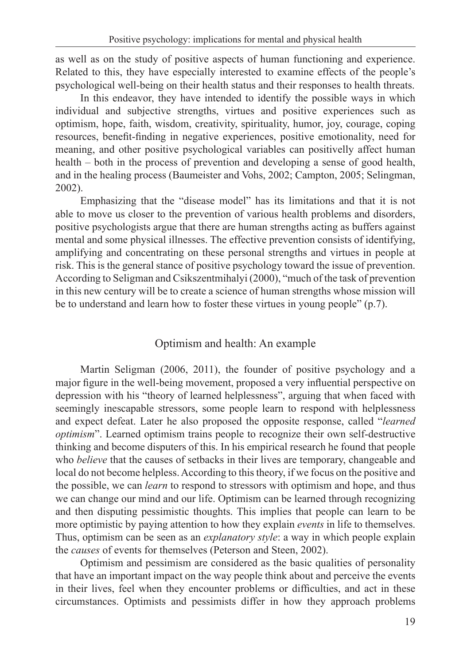as well as on the study of positive aspects of human functioning and experience. Related to this, they have especially interested to examine effects of the people's psychological well-being on their health status and their responses to health threats.

In this endeavor, they have intended to identify the possible ways in which individual and subjective strengths, virtues and positive experiences such as optimism, hope, faith, wisdom, creativity, spirituality, humor, joy, courage, coping resources, benefit-finding in negative experiences, positive emotionality, need for meaning, and other positive psychological variables can positivelly affect human health – both in the process of prevention and developing a sense of good health, and in the healing process (Baumeister and Vohs, 2002; Campton, 2005; Selingman, 2002).

Emphasizing that the "disease model" has its limitations and that it is not able to move us closer to the prevention of various health problems and disorders, positive psychologists argue that there are human strengths acting as buffers against mental and some physical illnesses. The effective prevention consists of identifying, amplifying and concentrating on these personal strengths and virtues in people at risk. This is the general stance of positive psychology toward the issue of prevention. According to Seligman and Csikszentmihalyi (2000), "much of the task of prevention in this new century will be to create a science of human strengths whose mission will be to understand and learn how to foster these virtues in young people" (p.7).

## Optimism and health: An example

Martin Seligman (2006, 2011), the founder of positive psychology and a major figure in the well-being movement, proposed a very influential perspective on depression with his "theory of learned helplessness", arguing that when faced with seemingly inescapable stressors, some people learn to respond with helplessness and expect defeat. Later he also proposed the opposite response, called "*learned optimism*". Learned optimism trains people to recognize their own self-destructive thinking and become disputers of this. In his empirical research he found that people who *believe* that the causes of setbacks in their lives are temporary, changeable and local do not become helpless. According to this theory, if we focus on the positive and the possible, we can *learn* to respond to stressors with optimism and hope, and thus we can change our mind and our life. Optimism can be learned through recognizing and then disputing pessimistic thoughts. This implies that people can learn to be more optimistic by paying attention to how they explain *events* in life to themselves. Thus, optimism can be seen as an *explanatory style*: a way in which people explain the *causes* of events for themselves (Peterson and Steen, 2002).

Optimism and pessimism are considered as the basic qualities of personality that have an important impact on the way people think about and perceive the events in their lives, feel when they encounter problems or difficulties, and act in these circumstances. Optimists and pessimists differ in how they approach problems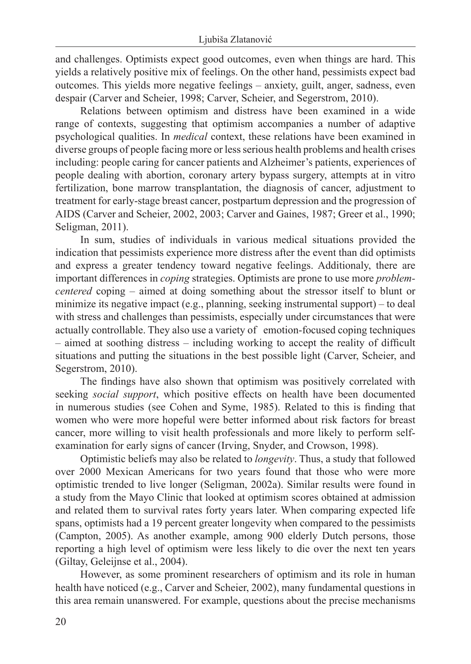and challenges. Optimists expect good outcomes, even when things are hard. This yields a relatively positive mix of feelings. On the other hand, pessimists expect bad outcomes. This yields more negative feelings – anxiety, guilt, anger, sadness, even despair (Carver and Scheier, 1998; Carver, Scheier, and Segerstrom, 2010).

Relations between optimism and distress have been examined in a wide range of contexts, suggesting that optimism accompanies a number of adaptive psychological qualities. In *medical* context, these relations have been examined in diverse groups of people facing more or less serious health problems and health crises including: people caring for cancer patients and Alzheimer's patients, experiences of people dealing with abortion, coronary artery bypass surgery, attempts at in vitro fertilization, bone marrow transplantation, the diagnosis of cancer, adjustment to treatment for early-stage breast cancer, postpartum depression and the progression of AIDS (Carver and Scheier, 2002, 2003; Carver and Gaines, 1987; Greer et al., 1990; Seligman, 2011).

In sum, studies of individuals in various medical situations provided the indication that pessimists experience more distress after the event than did optimists and express a greater tendency toward negative feelings. Additionaly, there are important differences in *coping* strategies. Optimists are prone to use more *problemcentered* coping – aimed at doing something about the stressor itself to blunt or minimize its negative impact (e.g., planning, seeking instrumental support) – to deal with stress and challenges than pessimists, especially under circumstances that were actually controllable. They also use a variety of emotion-focused coping techniques – aimed at soothing distress – including working to accept the reality of difficult situations and putting the situations in the best possible light (Carver, Scheier, and Segerstrom, 2010).

The findings have also shown that optimism was positively correlated with seeking *social support*, which positive effects on health have been documented in numerous studies (see Cohen and Syme, 1985). Related to this is finding that women who were more hopeful were better informed about risk factors for breast cancer, more willing to visit health professionals and more likely to perform selfexamination for early signs of cancer (Irving, Snyder, and Crowson, 1998).

Optimistic beliefs may also be related to *longevity*. Thus, a study that followed over 2000 Mexican Americans for two years found that those who were more optimistic trended to live longer (Seligman, 2002a). Similar results were found in a study from the Mayo Clinic that looked at optimism scores obtained at admission and related them to survival rates forty years later. When comparing expected life spans, optimists had a 19 percent greater longevity when compared to the pessimists (Campton, 2005). As another example, among 900 elderly Dutch persons, those reporting a high level of optimism were less likely to die over the next ten years (Giltay, Geleijnse et al., 2004).

However, as some prominent researchers of optimism and its role in human health have noticed (e.g., Carver and Scheier, 2002), many fundamental questions in this area remain unanswered. For example, questions about the precise mechanisms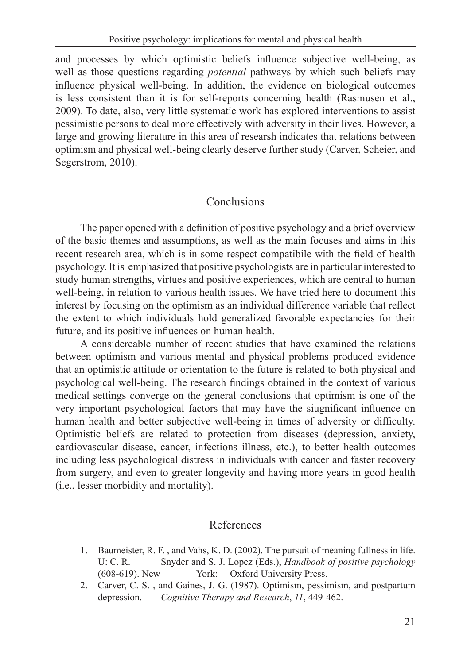and processes by which optimistic beliefs influence subjective well-being, as well as those questions regarding *potential* pathways by which such beliefs may influence physical well-being. In addition, the evidence on biological outcomes is less consistent than it is for self-reports concerning health (Rasmusen et al., 2009). To date, also, very little systematic work has explored interventions to assist pessimistic persons to deal more effectively with adversity in their lives. However, a large and growing literature in this area of researsh indicates that relations between optimism and physical well-being clearly deserve further study (Carver, Scheier, and Segerstrom, 2010).

# Conclusions

The paper opened with a definition of positive psychology and a brief overview of the basic themes and assumptions, as well as the main focuses and aims in this recent research area, which is in some respect compatibile with the field of health psychology. It is emphasized that positive psychologists are in particular interested to study human strengths, virtues and positive experiences, which are central to human well-being, in relation to various health issues. We have tried here to document this interest by focusing on the optimism as an individual difference variable that reflect the extent to which individuals hold generalized favorable expectancies for their future, and its positive influences on human health.

A considereable number of recent studies that have examined the relations between optimism and various mental and physical problems produced evidence that an optimistic attitude or orientation to the future is related to both physical and psychological well-being. The research findings obtained in the context of various medical settings converge on the general conclusions that optimism is one of the very important psychological factors that may have the siugnificant influence on human health and better subjective well-being in times of adversity or difficulty. Optimistic beliefs are related to protection from diseases (depression, anxiety, cardiovascular disease, cancer, infections illness, etc.), to better health outcomes including less psychological distress in individuals with cancer and faster recovery from surgery, and even to greater longevity and having more years in good health (i.e., lesser morbidity and mortality).

## References

- 1. Baumeister, R. F. , and Vahs, K. D. (2002). The pursuit of meaning fullness in life. U: C. R. Snyder and S. J. Lopez (Eds.), *Handbook of positive psychology* (608-619). New York: Oxford University Press.
- 2. Carver, C. S. , and Gaines, J. G. (1987). Optimism, pessimism, and postpartum depression. *Cognitive Therapy and Research*, *11*, 449-462.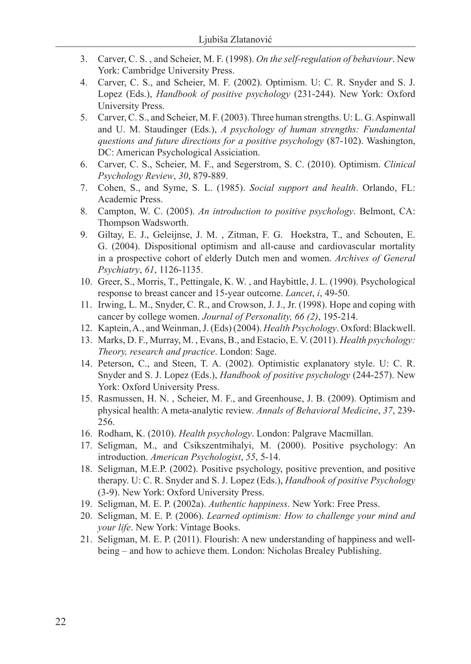- 3. Carver, C. S. , and Scheier, M. F. (1998). *On the self-regulation of behaviour*. New York: Cambridge University Press.
- 4. Carver, C. S., and Scheier, M. F. (2002). Optimism. U: C. R. Snyder and S. J. Lopez (Eds.), *Handbook of positive psychology* (231-244). New York: Oxford University Press.
- 5. Carver, C. S., and Scheier, M. F. (2003). Three human strengths. U: L. G. Aspinwall and U. M. Staudinger (Eds.), *A psychology of human strengths: Fundamental questions and future directions for a positive psychology* (87-102). Washington, DC: American Psychological Assiciation.
- 6. Carver, C. S., Scheier, M. F., and Segerstrom, S. C. (2010). Optimism. *Clinical Psychology Review*, *30*, 879-889.
- 7. Cohen, S., and Syme, S. L. (1985). *Social support and health*. Orlando, FL: Academic Press.
- 8. Campton, W. C. (2005). *An introduction to positive psychology*. Belmont, CA: Thompson Wadsworth.
- 9. Giltay, E. J., Geleijnse, J. M. , Zitman, F. G. Hoekstra, T., and Schouten, E. G. (2004). Dispositional optimism and all-cause and cardiovascular mortality in a prospective cohort of elderly Dutch men and women. *Archives of General Psychiatry*, *61*, 1126-1135.
- 10. Greer, S., Morris, T., Pettingale, K. W. , and Haybittle, J. L. (1990). Psychological response to breast cancer and 15-year outcome. *Lancet*, *i*, 49-50.
- 11. Irwing, L. M., Snyder, C. R., and Crowson, J. J., Jr. (1998). Hope and coping with cancer by college women. *Journal of Personality, 66 (2)*, 195-214.
- 12. Kaptein, A., and Weinman, J. (Eds) (2004). *Health Psychology*. Oxford: Blackwell.
- 13. Marks, D. F., Murray, M. , Evans, B., and Estacio, E. V. (2011). *Health psychology: Theory, research and practice*. London: Sage.
- 14. Peterson, C., and Steen, T. A. (2002). Optimistic explanatory style. U: C. R. Snyder and S. J. Lopez (Eds.), *Handbook of positive psychology* (244-257). New York: Oxford University Press.
- 15. Rasmussen, H. N. , Scheier, M. F., and Greenhouse, J. B. (2009). Optimism and physical health: A meta-analytic review. *Annals of Behavioral Medicine*, *37*, 239- 256.
- 16. Rodham, K. (2010). *Health psychology*. London: Palgrave Macmillan.
- 17. Seligman, M., and Csikszentmihalyi, M. (2000). Positive psychology: An introduction. *American Psychologist*, *55*, 5-14.
- 18. Seligman, M.E.P. (2002). Positive psychology, positive prevention, and positive therapy. U: C. R. Snyder and S. J. Lopez (Eds.), *Handbook of positive Psychology* (3-9). New York: Oxford University Press.
- 19. Seligman, M. E. P. (2002a). *Authentic happiness*. New York: Free Press.
- 20. Seligman, M. E. P. (2006). *Learned optimism: How to challenge your mind and your life*. New York: Vintage Books.
- 21. Seligman, M. E. P. (2011). Flourish: A new understanding of happiness and wellbeing – and how to achieve them. London: Nicholas Brealey Publishing.